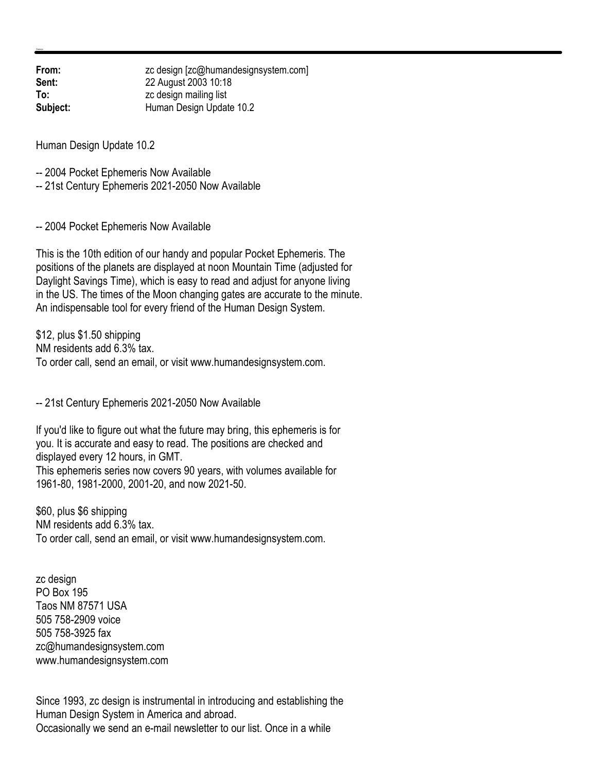**From:** zc design [zc@humandesignsystem.com] **Sent:** 22 August 2003 10:18 **To:** zc design mailing list **Subject:** Human Design Update 10.2

Human Design Update 10.2

-- 2004 Pocket Ephemeris Now Available

-- 21st Century Ephemeris 2021-2050 Now Available

-- 2004 Pocket Ephemeris Now Available

This is the 10th edition of our handy and popular Pocket Ephemeris. The positions of the planets are displayed at noon Mountain Time (adjusted for Daylight Savings Time), which is easy to read and adjust for anyone living in the US. The times of the Moon changing gates are accurate to the minute. An indispensable tool for every friend of the Human Design System.

\$12, plus \$1.50 shipping NM residents add 6.3% tax. To order call, send an email, or visit www.humandesignsystem.com.

-- 21st Century Ephemeris 2021-2050 Now Available

If you'd like to figure out what the future may bring, this ephemeris is for you. It is accurate and easy to read. The positions are checked and displayed every 12 hours, in GMT. This ephemeris series now covers 90 years, with volumes available for 1961-80, 1981-2000, 2001-20, and now 2021-50.

\$60, plus \$6 shipping NM residents add 6.3% tax. To order call, send an email, or visit www.humandesignsystem.com.

zc design PO Box 195 Taos NM 87571 USA 505 758-2909 voice 505 758-3925 fax zc@humandesignsystem.com www.humandesignsystem.com

Since 1993, zc design is instrumental in introducing and establishing the Human Design System in America and abroad. Occasionally we send an e-mail newsletter to our list. Once in a while